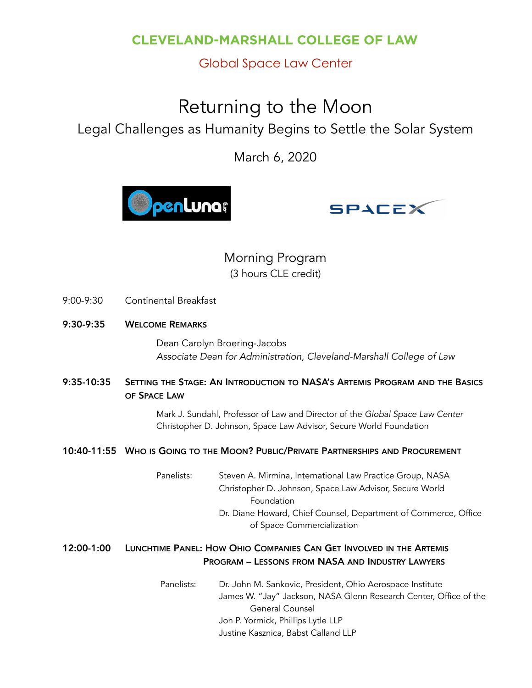### **CLEVELAND-MARSHALL COLLEGE OF LAW**

### Global Space Law Center

# Returning to the Moon

## Legal Challenges as Humanity Begins to Settle the Solar System

March 6, 2020





### Morning Program (3 hours CLE credit)

- 9:00-9:30 Continental Breakfast
- 9:30-9:35 WELCOME REMARKS

Dean Carolyn Broering-Jacobs *Associate Dean for Administration, Cleveland-Marshall College of Law*

9:35-10:35 SETTING THE STAGE: AN INTRODUCTION TO NASA'S ARTEMIS PROGRAM AND THE BASICS OF SPACE LAW

> Mark J. Sundahl, Professor of Law and Director of the *Global Space Law Center* Christopher D. Johnson, Space Law Advisor, Secure World Foundation

#### 10:40-11:55 WHO IS GOING TO THE MOON? PUBLIC/PRIVATE PARTNERSHIPS AND PROCUREMENT

Panelists: Steven A. Mirmina, International Law Practice Group, NASA Christopher D. Johnson, Space Law Advisor, Secure World Foundation Dr. Diane Howard, Chief Counsel, Department of Commerce, Office of Space Commercialization

#### 12:00-1:00 LUNCHTIME PANEL: HOW OHIO COMPANIES CAN GET INVOLVED IN THE ARTEMIS PROGRAM – LESSONS FROM NASA AND INDUSTRY LAWYERS

 Panelists: Dr. John M. Sankovic, President, Ohio Aerospace Institute James W. "Jay" Jackson, NASA Glenn Research Center, Office of the General Counsel Jon P. Yormick, Phillips Lytle LLP Justine Kasznica, Babst Calland LLP